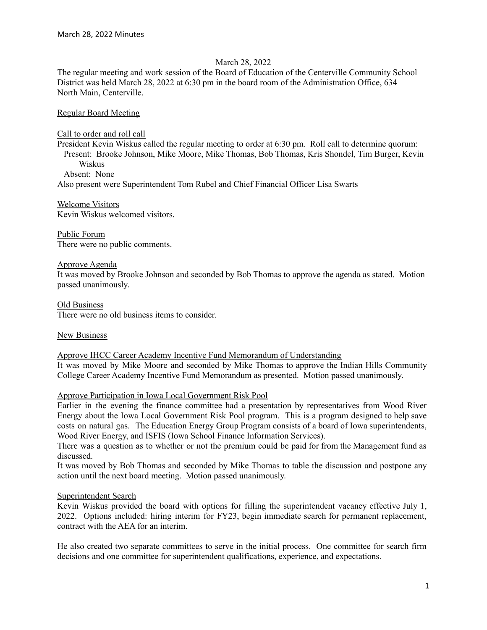## March 28, 2022

The regular meeting and work session of the Board of Education of the Centerville Community School District was held March 28, 2022 at 6:30 pm in the board room of the Administration Office, 634 North Main, Centerville.

Regular Board Meeting

Call to order and roll call

President Kevin Wiskus called the regular meeting to order at 6:30 pm. Roll call to determine quorum: Present: Brooke Johnson, Mike Moore, Mike Thomas, Bob Thomas, Kris Shondel, Tim Burger, Kevin Wiskus Absent: None

Also present were Superintendent Tom Rubel and Chief Financial Officer Lisa Swarts

Welcome Visitors Kevin Wiskus welcomed visitors.

Public Forum There were no public comments.

Approve Agenda

It was moved by Brooke Johnson and seconded by Bob Thomas to approve the agenda as stated. Motion passed unanimously.

Old Business There were no old business items to consider.

New Business

Approve IHCC Career Academy Incentive Fund Memorandum of Understanding

It was moved by Mike Moore and seconded by Mike Thomas to approve the Indian Hills Community College Career Academy Incentive Fund Memorandum as presented. Motion passed unanimously.

Approve Participation in Iowa Local Government Risk Pool

Earlier in the evening the finance committee had a presentation by representatives from Wood River Energy about the Iowa Local Government Risk Pool program. This is a program designed to help save costs on natural gas. The Education Energy Group Program consists of a board of Iowa superintendents, Wood River Energy, and ISFIS (Iowa School Finance Information Services).

There was a question as to whether or not the premium could be paid for from the Management fund as discussed.

It was moved by Bob Thomas and seconded by Mike Thomas to table the discussion and postpone any action until the next board meeting. Motion passed unanimously.

# Superintendent Search

Kevin Wiskus provided the board with options for filling the superintendent vacancy effective July 1, 2022. Options included: hiring interim for FY23, begin immediate search for permanent replacement, contract with the AEA for an interim.

He also created two separate committees to serve in the initial process. One committee for search firm decisions and one committee for superintendent qualifications, experience, and expectations.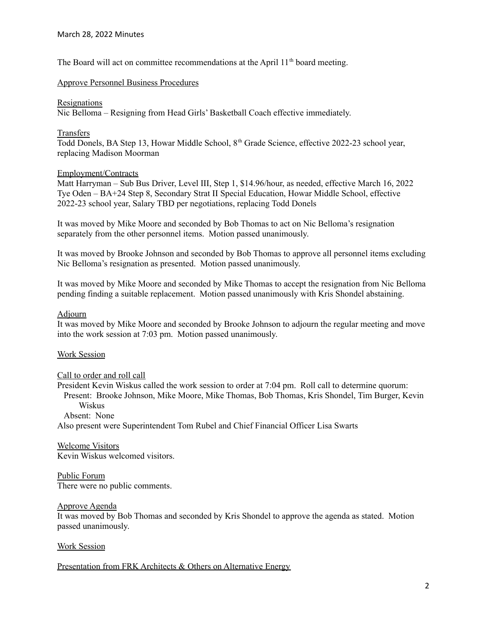The Board will act on committee recommendations at the April 11<sup>th</sup> board meeting.

## Approve Personnel Business Procedures

#### Resignations

Nic Belloma – Resigning from Head Girls' Basketball Coach effective immediately.

### Transfers

Todd Donels, BA Step 13, Howar Middle School, 8<sup>th</sup> Grade Science, effective 2022-23 school year, replacing Madison Moorman

## Employment/Contracts

Matt Harryman – Sub Bus Driver, Level III, Step 1, \$14.96/hour, as needed, effective March 16, 2022 Tye Oden – BA+24 Step 8, Secondary Strat II Special Education, Howar Middle School, effective 2022-23 school year, Salary TBD per negotiations, replacing Todd Donels

It was moved by Mike Moore and seconded by Bob Thomas to act on Nic Belloma's resignation separately from the other personnel items. Motion passed unanimously.

It was moved by Brooke Johnson and seconded by Bob Thomas to approve all personnel items excluding Nic Belloma's resignation as presented. Motion passed unanimously.

It was moved by Mike Moore and seconded by Mike Thomas to accept the resignation from Nic Belloma pending finding a suitable replacement. Motion passed unanimously with Kris Shondel abstaining.

## Adjourn

It was moved by Mike Moore and seconded by Brooke Johnson to adjourn the regular meeting and move into the work session at 7:03 pm. Motion passed unanimously.

### Work Session

### Call to order and roll call

President Kevin Wiskus called the work session to order at 7:04 pm. Roll call to determine quorum: Present: Brooke Johnson, Mike Moore, Mike Thomas, Bob Thomas, Kris Shondel, Tim Burger, Kevin Wiskus Absent: None

Also present were Superintendent Tom Rubel and Chief Financial Officer Lisa Swarts

Welcome Visitors Kevin Wiskus welcomed visitors.

Public Forum There were no public comments.

### Approve Agenda

It was moved by Bob Thomas and seconded by Kris Shondel to approve the agenda as stated. Motion passed unanimously.

# Work Session

Presentation from FRK Architects & Others on Alternative Energy